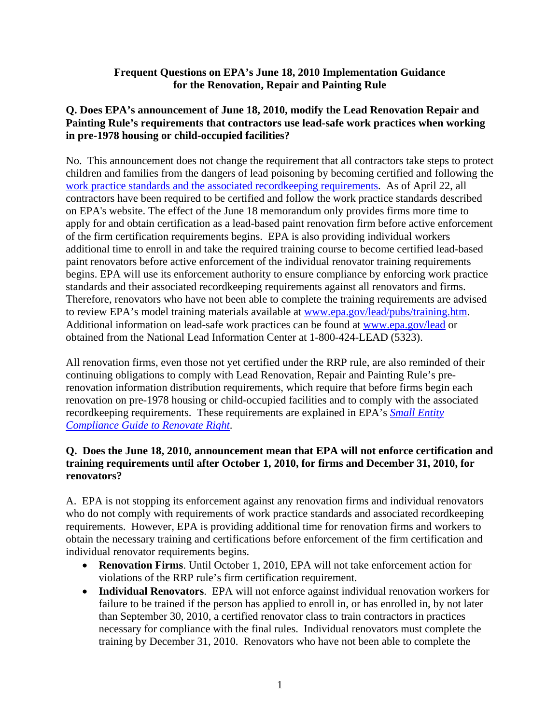#### **Frequent Questions on EPA's June 18, 2010 Implementation Guidance for the Renovation, Repair and Painting Rule**

## **Q. Does EPA's announcement of June 18, 2010, modify the Lead Renovation Repair and Painting Rule's requirements that contractors use lead-safe work practices when working in pre-1978 housing or child-occupied facilities?**

No. This announcement does not change the requirement that all contractors take steps to protect children and families from the dangers of lead poisoning by becoming certified and following the [work practice standards and the associated recordkeeping requirements.](http://epa.gov/lead/pubs/sbcomplianceguide.pdf) As of April 22, all contractors have been required to be certified and follow the work practice standards described on EPA's website. The effect of the June 18 memorandum only provides firms more time to apply for and obtain certification as a lead-based paint renovation firm before active enforcement of the firm certification requirements begins. EPA is also providing individual workers additional time to enroll in and take the required training course to become certified lead-based paint renovators before active enforcement of the individual renovator training requirements begins. EPA will use its enforcement authority to ensure compliance by enforcing work practice standards and their associated recordkeeping requirements against all renovators and firms. Therefore, renovators who have not been able to complete the training requirements are advised to review EPA's model training materials available at [www.epa.gov/lead/pubs/training.htm.](www.epa.gov/lead/pubs/training.htm) Additional information on lead-safe work practices can be found at<www.epa.gov/lead> or obtained from the National Lead Information Center at 1-800-424-LEAD (5323).

All renovation firms, even those not yet certified under the RRP rule, are also reminded of their continuing obligations to comply with Lead Renovation, Repair and Painting Rule's prerenovation information distribution requirements, which require that before firms begin each renovation on pre-1978 housing or child-occupied facilities and to comply with the associated recordkeeping requirements. These requirements are explained in EPA's *[Small Entity](http://epa.gov/lead/pubs/sbcomplianceguide.pdf)  [Compliance Guide to Renovate Right](http://epa.gov/lead/pubs/sbcomplianceguide.pdf)*.

## **Q. Does the June 18, 2010, announcement mean that EPA will not enforce certification and training requirements until after October 1, 2010, for firms and December 31, 2010, for renovators?**

A. EPA is not stopping its enforcement against any renovation firms and individual renovators who do not comply with requirements of work practice standards and associated recordkeeping requirements. However, EPA is providing additional time for renovation firms and workers to obtain the necessary training and certifications before enforcement of the firm certification and individual renovator requirements begins.

- **Renovation Firms**. Until October 1, 2010, EPA will not take enforcement action for violations of the RRP rule's firm certification requirement.
- **Individual Renovators**. EPA will not enforce against individual renovation workers for failure to be trained if the person has applied to enroll in, or has enrolled in, by not later than September 30, 2010, a certified renovator class to train contractors in practices necessary for compliance with the final rules. Individual renovators must complete the training by December 31, 2010. Renovators who have not been able to complete the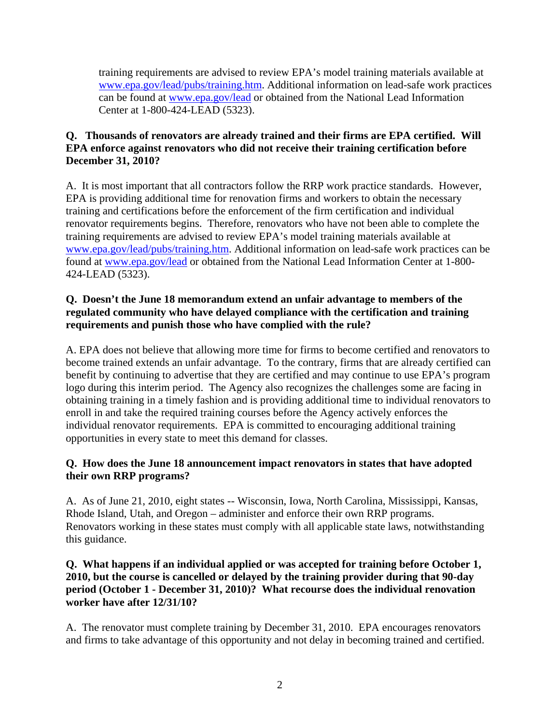training requirements are advised to review EPA's model training materials available at www.epa.gov/lead/pubs/training.htm. Additional information on lead-safe work practices can be found at www.epa.gov/lead or obtained from the National Lead Information Center at 1-800-424-LEAD (5323).

# **Q. Thousands of renovators are already trained and their firms are EPA certified. Will EPA enforce against renovators who did not receive their training certification before December 31, 2010?**

A. It is most important that all contractors follow the RRP work practice standards. However, EPA is providing additional time for renovation firms and workers to obtain the necessary training and certifications before the enforcement of the firm certification and individual renovator requirements begins. Therefore, renovators who have not been able to complete the training requirements are advised to review EPA's model training materials available at <www.epa.gov/lead/pubs/training.htm>. Additional information on lead-safe work practices can be found at <www.epa.gov/lead>or obtained from the National Lead Information Center at 1-800- 424-LEAD (5323).

# **Q. Doesn't the June 18 memorandum extend an unfair advantage to members of the regulated community who have delayed compliance with the certification and training requirements and punish those who have complied with the rule?**

A. EPA does not believe that allowing more time for firms to become certified and renovators to become trained extends an unfair advantage. To the contrary, firms that are already certified can benefit by continuing to advertise that they are certified and may continue to use EPA's program logo during this interim period. The Agency also recognizes the challenges some are facing in obtaining training in a timely fashion and is providing additional time to individual renovators to enroll in and take the required training courses before the Agency actively enforces the individual renovator requirements. EPA is committed to encouraging additional training opportunities in every state to meet this demand for classes.

# **Q. How does the June 18 announcement impact renovators in states that have adopted their own RRP programs?**

A. As of June 21, 2010, eight states -- Wisconsin, Iowa, North Carolina, Mississippi, Kansas, Rhode Island, Utah, and Oregon – administer and enforce their own RRP programs. Renovators working in these states must comply with all applicable state laws, notwithstanding this guidance.

## **Q. What happens if an individual applied or was accepted for training before October 1, 2010, but the course is cancelled or delayed by the training provider during that 90-day period (October 1 - December 31, 2010)? What recourse does the individual renovation worker have after 12/31/10?**

A. The renovator must complete training by December 31, 2010. EPA encourages renovators and firms to take advantage of this opportunity and not delay in becoming trained and certified.